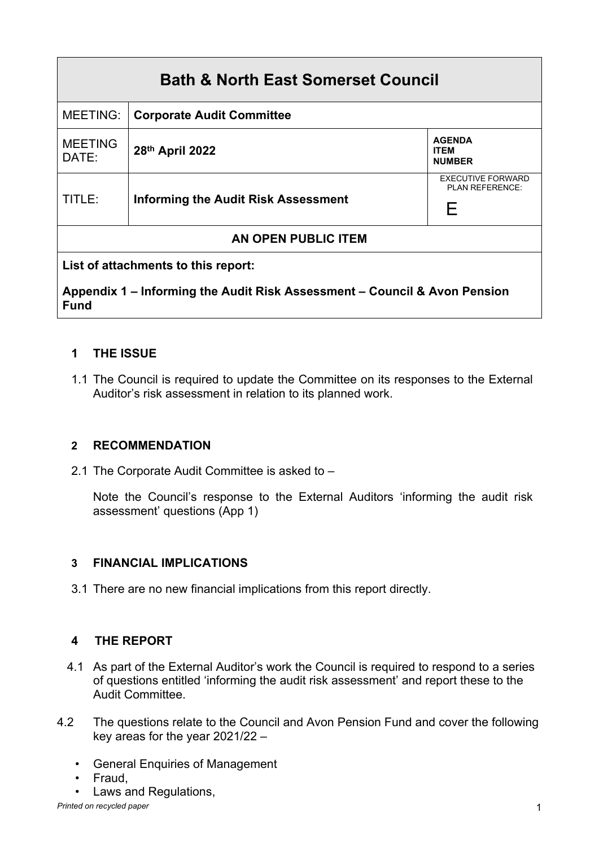| <b>Bath &amp; North East Somerset Council</b>                                            |                                            |                                                   |
|------------------------------------------------------------------------------------------|--------------------------------------------|---------------------------------------------------|
| <b>MEETING:</b>                                                                          | <b>Corporate Audit Committee</b>           |                                                   |
| <b>MEETING</b><br>DATE:                                                                  | 28th April 2022                            | <b>AGENDA</b><br><b>ITFM</b><br><b>NUMBER</b>     |
| TITLE:                                                                                   | <b>Informing the Audit Risk Assessment</b> | <b>EXECUTIVE FORWARD</b><br>PI AN REFERENCE.<br>F |
| AN OPEN PUBLIC ITEM                                                                      |                                            |                                                   |
| List of attachments to this report:                                                      |                                            |                                                   |
| Appendix 1 – Informing the Audit Risk Assessment – Council & Avon Pension<br><b>Fund</b> |                                            |                                                   |

# **1 THE ISSUE**

1.1 The Council is required to update the Committee on its responses to the External Auditor's risk assessment in relation to its planned work.

## **2 RECOMMENDATION**

2.1 The Corporate Audit Committee is asked to –

Note the Council's response to the External Auditors 'informing the audit risk assessment' questions (App 1)

## **3 FINANCIAL IMPLICATIONS**

3.1 There are no new financial implications from this report directly.

# **4 THE REPORT**

- 4.1 As part of the External Auditor's work the Council is required to respond to a series of questions entitled 'informing the audit risk assessment' and report these to the Audit Committee.
- 4.2 The questions relate to the Council and Avon Pension Fund and cover the following key areas for the year 2021/22 –
	- General Enquiries of Management
	- Fraud,
	- Laws and Regulations,